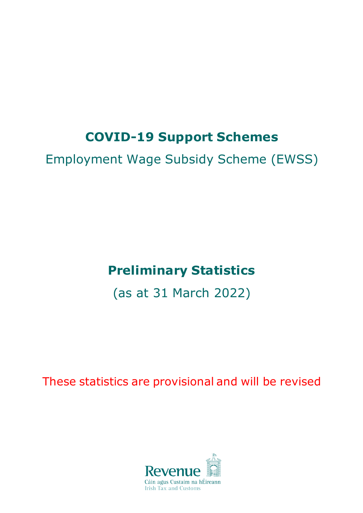# **COVID-19 Support Schemes**

Employment Wage Subsidy Scheme (EWSS)

## **Preliminary Statistics**

(as at 31 March 2022)

These statistics are provisional and will be revised

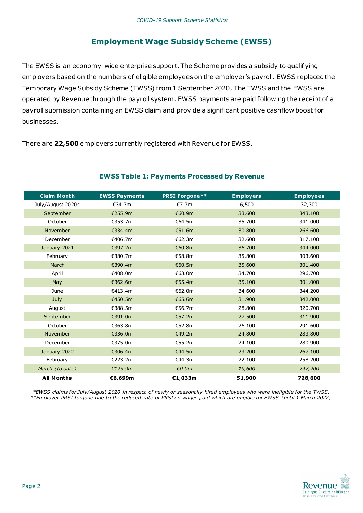## **Employment Wage Subsidy Scheme (EWSS)**

The EWSS is an economy-wide enterprise support. The Scheme provides a subsidy to qualifying employers based on the numbers of eligible employees on the employer's payroll. EWSS replaced the Temporary Wage Subsidy Scheme (TWSS) f rom 1 September 2020. The TWSS and the EWSS are operated by Revenue through the payroll system. EWSS payments are paid following the receipt of a payroll submission containing an EWSS claim and provide a significant positive cashflow boost for businesses.

There are **22,500** employers currently registered with Revenue for EWSS.

| <b>Claim Month</b> | <b>EWSS Payments</b> | <b>PRSI Forgone**</b> | <b>Employers</b> | <b>Employees</b> |
|--------------------|----------------------|-----------------------|------------------|------------------|
| July/August 2020*  | C34.7m               | €7.3m                 | 6,500            | 32,300           |
| September          | €255.9m              | €60.9m                | 33,600           | 343,100          |
| October            | €353.7m              | €64.5m                | 35,700           | 341,000          |
| November           | €334.4m              | €51.6m                | 30,800           | 266,600          |
| December           | €406.7m              | E62.3m                | 32,600           | 317,100          |
| January 2021       | €397.2m              | €60.8m                | 36,700           | 344,000          |
| February           | €380.7m              | €58.8m                | 35,800           | 303,600          |
| March              | €390.4m              | €60.5m                | 35,600           | 301,400          |
| April              | €408.0m              | €63.0m                | 34,700           | 296,700          |
| May                | €362.6m              | €55.4m                | 35,100           | 301,000          |
| June               | €413.4m              | €62.0m                | 34,600           | 344,200          |
| July               | €450.5m              | €65.6m                | 31,900           | 342,000          |
| August             | €388.5m              | €56.7m                | 28,800           | 320,700          |
| September          | €391.0m              | €57.2m                | 27,500           | 311,900          |
| October            | €363.8m              | €52.8m                | 26,100           | 291,600          |
| November           | €336.0m              | €49.2m                | 24,800           | 283,800          |
| December           | €375.0m              | €55.2m                | 24,100           | 280,900          |
| January 2022       | €306.4m              | €44.5m                | 23,200           | 267,100          |
| February           | €223.2m              | €44.3m                | 22,100           | 258,200          |
| March (to date)    | £125.9m              | €0.0m                 | 19,600           | 247,200          |
| <b>All Months</b>  | €6,699m              | €1,033m               | 51,900           | 728,600          |

#### **EWSS Table 1: Payments Processed by Revenue**

*\*EWSS claims for July/August 2020 in respect of newly or seasonally hired employees who were ineligible for the TWSS; \*\*Employer PRSI forgone due to the reduced rate of PRSI on wages paid which are eligible for EWSS (until 1 March 2022).*

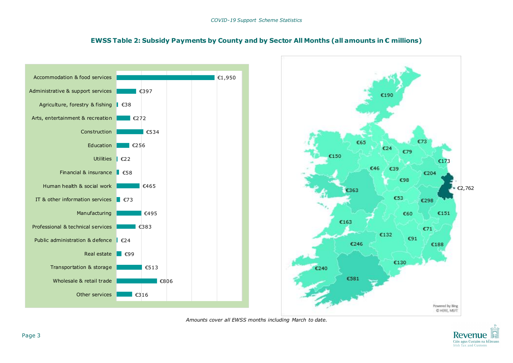

#### **EWSS Table 2: Subsidy Payments by County and by Sector All Months (all amounts in € millions)**

*Amounts cover all EWSS months including March to date.*